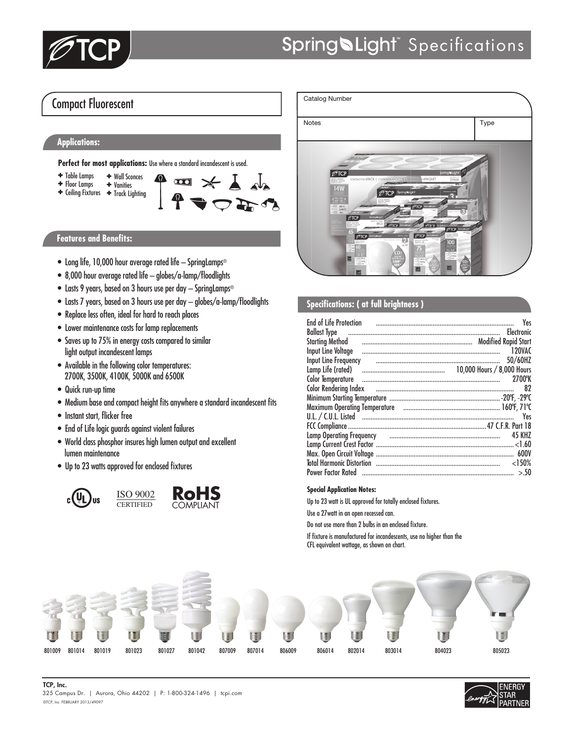

## Compact Fluorescent

### **Applications:**

Perfect for most applications: Use where a standard incandescent is used.

 ✚ Wall Sconces ✚ Table Lamps  $\Omega$  $\overline{\mathbf{u}}$ ✚ Floor Lamps ✚ Vanities ✚ Track Lighting ✚ Ceiling Fixtures

#### **Features and Benefits:**

- Long life, 10,000 hour average rated life SpringLamps®
- 8,000 hour average rated life globes/a-lamp/floodlights
- Lasts 9 years, based on 3 hours use per day SpringLamps®
- Lasts 7 years, based on 3 hours use per day globes/a-lamp/floodlights
- Replace less often, ideal for hard to reach places
- Lower maintenance costs for lamp replacements
- Saves up to 75% in energy costs compared to similar light output incandescent lamps
- Available in the following color temperatures: 2700K, 3500K, 4100K, 5000K and 6500K
- Quick run-up time
- Medium base and compact height fits anywhere a standard incandescent fits
- Instant start, flicker free
- End of Life logic guards against violent failures
- World class phosphor insures high lumen output and excellent lumen maintenance
- Up to 23 watts approved for enclosed fixtures







### **Specifications: ( at full brightness )**

| <b>End of Life Protection</b>                                                     | Yes           |
|-----------------------------------------------------------------------------------|---------------|
|                                                                                   |               |
| Starting Method (all all all all all all alternative and the Modified Rapid Start |               |
|                                                                                   | 120VAC        |
| Input Line Frequency                                                              | 50/60HZ       |
|                                                                                   |               |
| Color Temperature                                                                 | 2700°K        |
| Color Rendering Index <b>contract to the Color Rendering Index</b>                | 82            |
|                                                                                   |               |
|                                                                                   |               |
|                                                                                   | Yes           |
|                                                                                   |               |
|                                                                                   | <b>45 KHZ</b> |
|                                                                                   |               |
|                                                                                   |               |
|                                                                                   | $<$ 150%      |
| Power Factor Rated …………………………………………………………………………                                   | > 50          |

#### **Special Application Notes:**

Up to 23 watt is UL approved for totally enclosed fixtures.

Use a 27watt in an open recessed can.

Do not use more than 2 bulbs in an enclosed fixture.

If fixture is manufactured for incandescents, use no higher than the CFL equivalent wattage, as shown on chart.